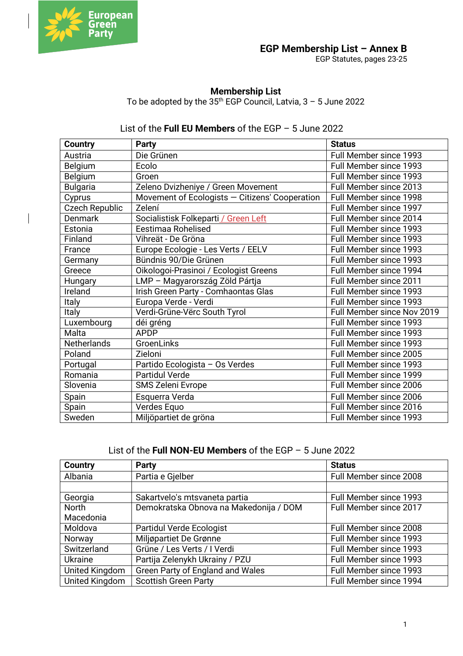

EGP Statutes, pages 23-25

## **Membership List**

To be adopted by the  $35<sup>th</sup>$  EGP Council, Latvia,  $3 - 5$  June 2022

# List of the **Full EU Members** of the EGP – 5 June 2022

| <b>Country</b>        | <b>Party</b>                                   | <b>Status</b>              |
|-----------------------|------------------------------------------------|----------------------------|
| Austria               | Die Grünen                                     | Full Member since 1993     |
| Belgium               | Ecolo                                          | Full Member since 1993     |
| Belgium               | Groen                                          | Full Member since 1993     |
| <b>Bulgaria</b>       | Zeleno Dvizheniye / Green Movement             | Full Member since 2013     |
| Cyprus                | Movement of Ecologists - Citizens' Cooperation | Full Member since 1998     |
| <b>Czech Republic</b> | Zelení                                         | Full Member since 1997     |
| <b>Denmark</b>        | Socialistisk Folkeparti / Green Left           | Full Member since 2014     |
| Estonia               | Eestimaa Rohelised                             | Full Member since 1993     |
| Finland               | Vihreät - De Gröna                             | Full Member since 1993     |
| France                | Europe Ecologie - Les Verts / EELV             | Full Member since 1993     |
| Germany               | Bündnis 90/Die Grünen                          | Full Member since 1993     |
| Greece                | Oikologoi-Prasinoi / Ecologist Greens          | Full Member since 1994     |
| Hungary               | LMP - Magyarország Zöld Pártja                 | Full Member since 2011     |
| Ireland               | Irish Green Party - Comhaontas Glas            | Full Member since 1993     |
| Italy                 | Europa Verde - Verdi                           | Full Member since 1993     |
| <b>Italy</b>          | Verdi-Grüne-Vërc South Tyrol                   | Full Member since Nov 2019 |
| Luxembourg            | déi gréng                                      | Full Member since 1993     |
| Malta                 | <b>APDP</b>                                    | Full Member since 1993     |
| <b>Netherlands</b>    | GroenLinks                                     | Full Member since 1993     |
| Poland                | Zieloni                                        | Full Member since 2005     |
| Portugal              | Partido Ecologista - Os Verdes                 | Full Member since 1993     |
| Romania               | <b>Partidul Verde</b>                          | Full Member since 1999     |
| Slovenia              | SMS Zeleni Evrope                              | Full Member since 2006     |
| Spain                 | Esquerra Verda                                 | Full Member since 2006     |
| Spain                 | Verdes Equo                                    | Full Member since 2016     |
| Sweden                | Miljöpartiet de gröna                          | Full Member since 1993     |

List of the **Full NON-EU Members** of the EGP – 5 June 2022

| <b>Country</b>        | <b>Party</b>                            | <b>Status</b>          |
|-----------------------|-----------------------------------------|------------------------|
| Albania               | Partia e Gjelber                        | Full Member since 2008 |
|                       |                                         |                        |
| Georgia               | Sakartvelo's mtsvaneta partia           | Full Member since 1993 |
| North                 | Demokratska Obnova na Makedonija / DOM  | Full Member since 2017 |
| Macedonia             |                                         |                        |
| Moldova               | <b>Partidul Verde Ecologist</b>         | Full Member since 2008 |
| Norway                | Miljøpartiet De Grønne                  | Full Member since 1993 |
| Switzerland           | Grüne / Les Verts / I Verdi             | Full Member since 1993 |
| <b>Ukraine</b>        | Partija Zelenykh Ukrainy / PZU          | Full Member since 1993 |
| United Kingdom        | <b>Green Party of England and Wales</b> | Full Member since 1993 |
| <b>United Kingdom</b> | <b>Scottish Green Party</b>             | Full Member since 1994 |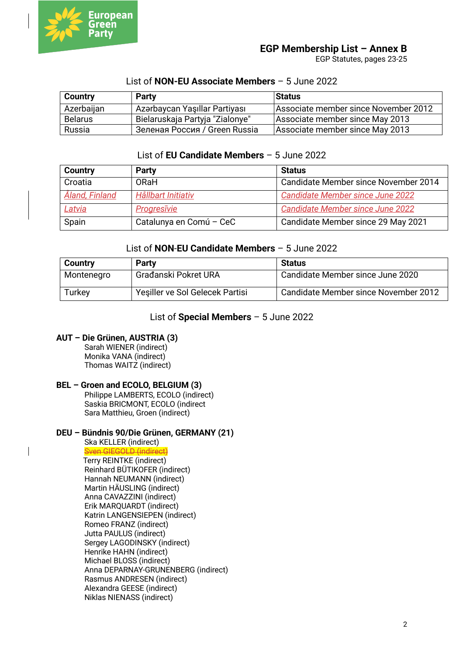

EGP Statutes, pages 23-25

| <b>Country</b> | <b>Party</b>                    | <b>Status</b>                        |
|----------------|---------------------------------|--------------------------------------|
| Azerbaijan     | Azərbaycan Yaşıllar Partiyası   | Associate member since November 2012 |
| <b>Belarus</b> | Bielaruskaja Partyja "Zialonye" | Associate member since May 2013      |
| Russia         | Зеленая Россия / Green Russia   | Associate member since May 2013      |

#### List of **NON-EU Associate Members** – 5 June 2022

#### List of **EU Candidate Members** – 5 June 2022

| Country        | <b>Party</b>            | <b>Status</b>                           |
|----------------|-------------------------|-----------------------------------------|
| Croatia        | <b>ORaH</b>             | Candidate Member since November 2014    |
| Åland, Finland | Hållbart Initiativ      | <b>Candidate Member since June 2022</b> |
| Latvia         | Progresivie             | <b>Candidate Member since June 2022</b> |
| Spain          | Catalunya en Comú - CeC | Candidate Member since 29 May 2021      |

#### List of **NON**-**EU Candidate Members** – 5 June 2022

| <b>Country</b> | <b>Party</b>                    | <b>Status</b>                        |
|----------------|---------------------------------|--------------------------------------|
| Montenegro     | Građanski Pokret URA            | Candidate Member since June 2020     |
| Turkey         | Yeşiller ve Sol Gelecek Partisi | Candidate Member since November 2012 |

#### List of **Special Members** – 5 June 2022

### **AUT – Die Grünen, AUSTRIA (3)**

Sarah WIENER (indirect) Monika VANA (indirect) Thomas WAITZ (indirect)

#### **BEL – Groen and ECOLO, BELGIUM (3)**

Philippe LAMBERTS, ECOLO (indirect) Saskia BRICMONT, ECOLO (indirect Sara Matthieu, Groen (indirect)

#### **DEU – Bündnis 90/Die Grünen, GERMANY (21)**

Ska KELLER (indirect) Sven GIEGOLD (indirect) Terry REINTKE (indirect) Reinhard BÜTIKOFER (indirect) Hannah NEUMANN (indirect) Martin HÄUSLING (indirect) Anna CAVAZZINI (indirect) Erik MARQUARDT (indirect) Katrin LANGENSIEPEN (indirect) Romeo FRANZ (indirect) Jutta PAULUS (indirect) Sergey LAGODINSKY (indirect) Henrike HAHN (indirect) Michael BLOSS (indirect) Anna DEPARNAY-GRUNENBERG (indirect) Rasmus ANDRESEN (indirect) Alexandra GEESE (indirect) Niklas NIENASS (indirect)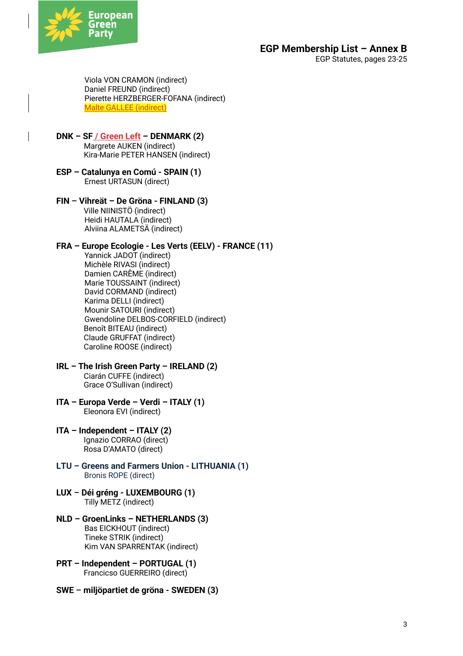

EGP Statutes, pages 23-25

Viola VON CRAMON (indirect) Daniel FREUND (indirect) Pierette HERZBERGER-FOFANA (indirect) Malte GALLEE (indirect)

- **DNK – SF / Green Left – DENMARK (2)** Margrete AUKEN (indirect) Kira-Marie PETER HANSEN (indirect)
- **ESP – Catalunya en Comú - SPAIN (1)** Ernest URTASUN (direct)
- **FIN – Vihreät – De Gröna - FINLAND (3)** Ville NIINISTÖ (indirect) Heidi HAUTALA (indirect) Alviina ALAMETSÄ (indirect)

#### **FRA – Europe Ecologie - Les Verts (EELV) - FRANCE (11)**

- Yannick JADOT (indirect) Michèle RIVASI (indirect) Damien CARÊME (indirect) Marie TOUSSAINT (indirect) David CORMAND (indirect) Karima DELLI (indirect) Mounir SATOURI (indirect) Gwendoline DELBOS-CORFIELD (indirect) Benoît BITEAU (indirect) Claude GRUFFAT (indirect) Caroline ROOSE (indirect)
- **IRL – The Irish Green Party – IRELAND (2)** Ciarán CUFFE (indirect) Grace O'Sullivan (indirect)
- **ITA – Europa Verde – Verdi – ITALY (1)** Eleonora EVI (indirect)
- **ITA – Independent – ITALY (2)** Ignazio CORRAO (direct) Rosa D'AMATO (direct)
- **LTU – Greens and Farmers Union - LITHUANIA (1)**  Bronis ROPE (direct)
- **LUX – Déi gréng - LUXEMBOURG (1)** Tilly METZ (indirect)
- **NLD – GroenLinks – NETHERLANDS (3)** Bas EICKHOUT (indirect) Tineke STRIK (indirect) Kim VAN SPARRENTAK (indirect)
- **PRT – Independent – PORTUGAL (1)** Francicso GUERREIRO (direct)
- **SWE – miljöpartiet de gröna - SWEDEN (3)**